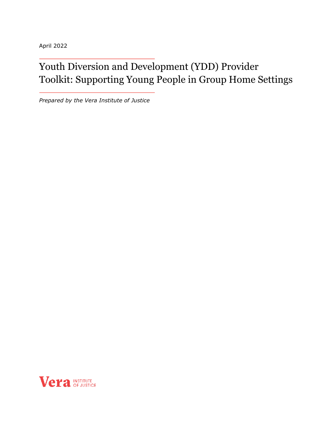April 2022

# Youth Diversion and Development (YDD) Provider Toolkit: Supporting Young People in Group Home Settings

*Prepared by the Vera Institute of Justice*

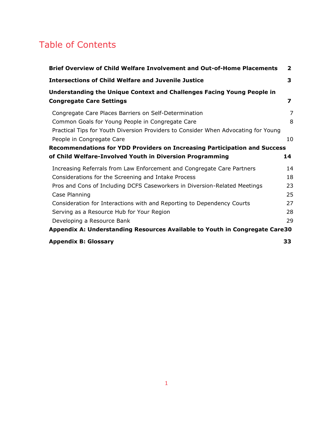# Table of Contents

<span id="page-1-0"></span>

| Brief Overview of Child Welfare Involvement and Out-of-Home Placements             | $\mathbf{2}$            |
|------------------------------------------------------------------------------------|-------------------------|
| <b>Intersections of Child Welfare and Juvenile Justice</b>                         | 3                       |
| Understanding the Unique Context and Challenges Facing Young People in             |                         |
| <b>Congregate Care Settings</b>                                                    | $\overline{\mathbf{z}}$ |
| Congregate Care Places Barriers on Self-Determination                              | 7                       |
| Common Goals for Young People in Congregate Care                                   | 8                       |
| Practical Tips for Youth Diversion Providers to Consider When Advocating for Young |                         |
| People in Congregate Care                                                          | 10                      |
| <b>Recommendations for YDD Providers on Increasing Participation and Success</b>   |                         |
| of Child Welfare-Involved Youth in Diversion Programming                           | 14                      |
| Increasing Referrals from Law Enforcement and Congregate Care Partners             | 14                      |
| Considerations for the Screening and Intake Process                                | 18                      |
| Pros and Cons of Including DCFS Caseworkers in Diversion-Related Meetings          | 23                      |
| Case Planning                                                                      | 25                      |
| Consideration for Interactions with and Reporting to Dependency Courts             | 27                      |
| Serving as a Resource Hub for Your Region                                          | 28                      |
| Developing a Resource Bank                                                         | 29                      |
| Appendix A: Understanding Resources Available to Youth in Congregate Care30        |                         |
| <b>Appendix B: Glossary</b>                                                        | 33                      |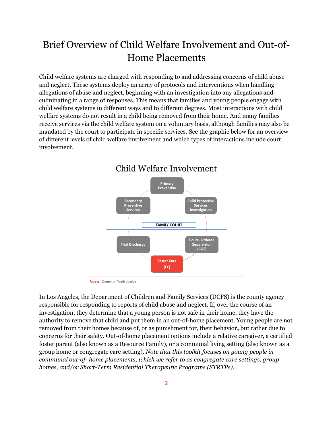# Brief Overview of Child Welfare Involvement and Out-of-Home Placements

Child welfare systems are charged with responding to and addressing concerns of child abuse and neglect. These systems deploy an array of protocols and interventions when handling allegations of abuse and neglect, beginning with an investigation into any allegations and culminating in a range of responses. This means that families and young people engage with child welfare systems in different ways and to different degrees. Most interactions with child welfare systems do not result in a child being removed from their home. And many families receive services via the child welfare system on a voluntary basis, although families may also be mandated by the court to participate in specific services. See the graphic below for an overview of different levels of child welfare involvement and which types of interactions include court involvement.



Child Welfare Involvement

Vera Center on Youth Justice

In Los Angeles, the Department of Children and Family Services (DCFS) is the county agency responsible for responding to reports of child abuse and neglect. If, over the course of an investigation, they determine that a young person is not safe in their home, they have the authority to remove that child and put them in an out-of-home placement. Young people are not removed from their homes because of, or as punishment for, their behavior**,** but rather due to concerns for their safety. Out-of-home placement options include a relative caregiver, a certified foster parent (also known as a Resource Family), or a communal living setting (also known as a group home or congregate care setting). *Note that this toolkit focuses on young people in communal out-of- home placements, which we refer to as congregate care settings, group homes, and/or Short-Term Residential Therapeutic Programs (STRTPs).*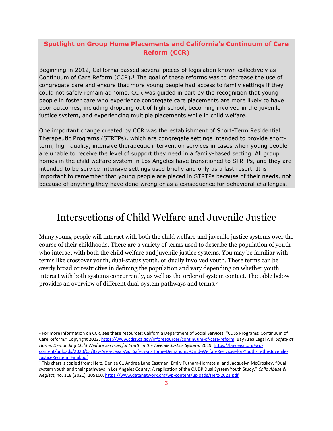## **Spotlight on Group Home Placements and California's Continuum of Care Reform (CCR)**

Beginning in 2012, California passed several pieces of legislation known collectively as Continuum of Care Reform  $(CCR)$ .<sup>1</sup> The goal of these reforms was to decrease the use of congregate care and ensure that more young people had access to family settings if they could not safely remain at home. CCR was guided in part by the recognition that young people in foster care who experience congregate care placements are more likely to have poor outcomes, including dropping out of high school, becoming involved in the juvenile justice system, and experiencing multiple placements while in child welfare.

One important change created by CCR was the establishment of Short-Term Residential Therapeutic Programs (STRTPs), which are congregate settings intended to provide shortterm, high-quality, intensive therapeutic intervention services in cases when young people are unable to receive the level of support they need in a family-based setting. All group homes in the child welfare system in Los Angeles have transitioned to STRTPs, and they are intended to be service-intensive settings used briefly and only as a last resort. It is important to remember that young people are placed in STRTPs because of their needs, not because of anything they have done wrong or as a consequence for behavioral challenges.

# <span id="page-3-0"></span>Intersections of Child Welfare and Juvenile Justice

Many young people will interact with both the child welfare and juvenile justice systems over the course of their childhoods. There are a variety of terms used to describe the population of youth who interact with both the child welfare and juvenile justice systems. You may be familiar with terms like crossover youth, dual-status youth, or dually involved youth. These terms can be overly broad or restrictive in defining the population and vary depending on whether youth interact with both systems concurrently, as well as the order of system contact. The table below provides an overview of different dual-system pathways and terms. 2

<sup>1</sup> For more information on CCR, see these resources: California Department of Social Services. "CDSS Programs: Continuum of Care Reform." Copyright 2022. [https://www.cdss.ca.gov/inforesources/continuum-of-care-reform;](https://www.cdss.ca.gov/inforesources/continuum-of-care-reform) Bay Area Legal Aid. *Safety at Home: Demanding Child Welfare Services for Youth in the Juvenile Justice System.* 2019[. https://baylegal.org/wp](https://baylegal.org/wp-content/uploads/2020/03/Bay-Area-Legal-Aid_Safety-at-Home-Demanding-Child-Welfare-Services-for-Youth-in-the-Juvenile-Justice-System_Final.pdf)[content/uploads/2020/03/Bay-Area-Legal-Aid\\_Safety-at-Home-Demanding-Child-Welfare-Services-for-Youth-in-the-Juvenile-](https://baylegal.org/wp-content/uploads/2020/03/Bay-Area-Legal-Aid_Safety-at-Home-Demanding-Child-Welfare-Services-for-Youth-in-the-Juvenile-Justice-System_Final.pdf)[Justice-System\\_Final.pdf](https://baylegal.org/wp-content/uploads/2020/03/Bay-Area-Legal-Aid_Safety-at-Home-Demanding-Child-Welfare-Services-for-Youth-in-the-Juvenile-Justice-System_Final.pdf)

<sup>2</sup> This chart is copied from: Herz, Denise C., Andrea Lane Eastman, Emily Putnam-Hornstein, and Jacquelyn McCroskey. "Dual system youth and their pathways in Los Angeles County: A replication of the OJJDP Dual System Youth Study." *Child Abuse & Neglect,* no. 118 (2021), 105160[. https://www.datanetwork.org/wp-content/uploads/Herz-2021.pdf](https://www.datanetwork.org/wp-content/uploads/Herz-2021.pdf)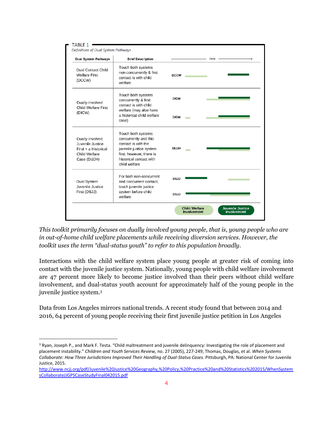| <b>Dual System Pathways</b>                                                                  | <b>Brief Description</b>                                                                                                                                              | time         |  |
|----------------------------------------------------------------------------------------------|-----------------------------------------------------------------------------------------------------------------------------------------------------------------------|--------------|--|
| <b>Dual Contact Child</b><br><b>Welfare First</b><br>(DCCW)                                  | Touch both systems<br>non-concurrently & first<br>contact is with child<br>welfare                                                                                    | <b>DCCW</b>  |  |
| Dually-Involved<br><b>Child Welfare First</b><br>(DICW)                                      | Touch both systems<br>concurrently & first<br>contact is with child                                                                                                   | <b>DICW</b>  |  |
|                                                                                              | welfare (may also have<br>a historical child welfare<br>case)                                                                                                         | <b>DICW</b>  |  |
| Dually-Involved<br>Juvenile Justice<br>First + a Historical<br>Child Welfare<br>Case (DIJJH) | Touch both systems<br>concurrently and this<br>contact is with the<br>juvenile justice system<br>first; however, there is<br>historical contact with<br>child welfare | <b>DIJJH</b> |  |
| <b>Dual System</b><br>Juvenile Justice                                                       | For both non-concurrent<br>and concurrent contact.<br>touch juvenile justice                                                                                          | <b>DSJJ</b>  |  |
| First (DSJJ)                                                                                 | system before child<br>welfare                                                                                                                                        | <b>DSJJ</b>  |  |

*This toolkit primarily focuses on dually involved young people, that is, young people who are in out-of-home child welfare placements while receiving diversion services. However, the toolkit uses the term "dual-status youth" to refer to this population broadly.*

Interactions with the child welfare system place young people at greater risk of coming into contact with the juvenile justice system. Nationally, young people with child welfare involvement are 47 percent more likely to become justice involved than their peers without child welfare involvement, and dual-status youth account for approximately half of the young people in the juvenile justice system. 3

Data from Los Angeles mirrors national trends. A recent study found that between 2014 and 2016, 64 percent of young people receiving their first juvenile justice petition in Los Angeles

<sup>&</sup>lt;sup>3</sup> Ryan, Joseph P., and Mark F. Testa. "Child maltreatment and juvenile delinquency: Investigating the role of placement and placement instability." *Children and Youth Services Review,* no. 27 (2005), 227-249; Thomas, Douglas, et al. *When Systems Collaborate: How Three Jurisdictions Improved Their Handling of Dual-Status Cases.* Pittsburgh, PA: National Center for Juvenile Justice, 2015.

[http://www.ncjj.org/pdf/Juvenile%20Justice%20Geography,%20Policy,%20Practice%20and%20Statistics%202015/WhenSystem](http://www.ncjj.org/pdf/Juvenile%20Justice%20Geography,%20Policy,%20Practice%20and%20Statistics%202015/WhenSystemsCollaborateJJGPSCaseStudyFinal042015.pdf) [sCollaborateJJGPSCaseStudyFinal042015.pdf](http://www.ncjj.org/pdf/Juvenile%20Justice%20Geography,%20Policy,%20Practice%20and%20Statistics%202015/WhenSystemsCollaborateJJGPSCaseStudyFinal042015.pdf)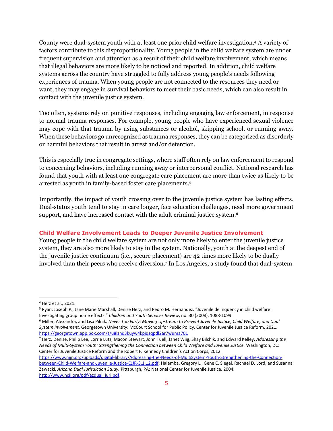County were dual-system youth with at least one prior child welfare investigation. <sup>4</sup> A variety of factors contribute to this disproportionality. Young people in the child welfare system are under frequent supervision and attention as a result of their child welfare involvement, which means that illegal behaviors are more likely to be noticed and reported. In addition, child welfare systems across the country have struggled to fully address young people's needs following experiences of trauma. When young people are not connected to the resources they need or want, they may engage in survival behaviors to meet their basic needs, which can also result in contact with the juvenile justice system.

Too often, systems rely on punitive responses, including engaging law enforcement, in response to normal trauma responses. For example, young people who have experienced sexual violence may cope with that trauma by using substances or alcohol, skipping school, or running away. When these behaviors go unrecognized as trauma responses, they can be categorized as disorderly or harmful behaviors that result in arrest and/or detention.

This is especially true in congregate settings, where staff often rely on law enforcement to respond to concerning behaviors, including running away or interpersonal conflict. National research has found that youth with at least one congregate care placement are more than twice as likely to be arrested as youth in family-based foster care placements. 5

Importantly, the impact of youth crossing over to the juvenile justice system has lasting effects. Dual-status youth tend to stay in care longer, face education challenges, need more government support, and have increased contact with the adult criminal justice system. 6

#### **Child Welfare Involvement Leads to Deeper Juvenile Justice Involvement**

Young people in the child welfare system are not only more likely to enter the juvenile justice system, they are also more likely to stay in the system. Nationally, youth at the deepest end of the juvenile justice continuum (i.e., secure placement) are 42 times more likely to be dually involved than their peers who receive diversion. <sup>7</sup> In Los Angeles, a study found that dual-system

<sup>5</sup> Ryan, Joseph P., Jane Marie Marshall, Denise Herz, and Pedro M. Hernandez. "Juvenile delinquency in child welfare: Investigating group home effects." *Children and Youth Services Review*, no. 30 (2008), 1088-1099.

<sup>6</sup> Miller, Alexandra, and Lisa Pilnik. *Never Too Early: Moving Upstream to Prevent Juvenile Justice, Child Welfare, and Dual System Involvement.* Georgetown University: McCourt School for Public Policy, Center for Juvenile Justice Reform, 2021. <https://georgetown.app.box.com/s/u8lznq3kuyw4kpjqzqpdl2ar7wuma701>

<sup>7</sup> Herz, Denise, Philip Lee, Lorrie Lutz, Macon Stewart, John Tuell, Janet Wiig, Shay Bilchik, and Edward Kelley. *Addressing the Needs of Multi-System Youth: Strengthening the Connection between Child Welfare and Juvenile Justice.* Washington, DC: Center for Juvenile Justice Reform and the Robert F. Kennedy Children's Action Corps, 2012.

[https://www.njjn.org/uploads/digital-library/Addressing-the-Needs-of-MultiSystem-Youth-Strengthening-the-Connection](https://www.njjn.org/uploads/digital-library/Addressing-the-Needs-of-MultiSystem-Youth-Strengthening-the-Connection-between-Child-Welfare-and-Juvenile-Justice-CJJR-3.1.12.pdf)[between-Child-Welfare-and-Juvenile-Justice-CJJR-3.1.12.pdf;](https://www.njjn.org/uploads/digital-library/Addressing-the-Needs-of-MultiSystem-Youth-Strengthening-the-Connection-between-Child-Welfare-and-Juvenile-Justice-CJJR-3.1.12.pdf) Halemba, Gregory L., Gene C. Siegel, Rachael D. Lord, and Susanna Zawacki. *Arizona Dual Jurisdiction Study.* Pittsburgh, PA: National Center for Juvenile Justice, 2004. [http://www.ncjj.org/pdf/azdual\\_juri.pdf.](http://www.ncjj.org/pdf/azdual_juri.pdf)

<sup>4</sup> Herz et al., 2021.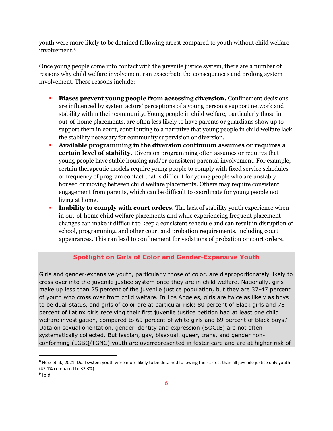youth were more likely to be detained following arrest compared to youth without child welfare involvement. 8

Once young people come into contact with the juvenile justice system, there are a number of reasons why child welfare involvement can exacerbate the consequences and prolong system involvement. These reasons include:

- **Biases prevent young people from accessing diversion.** Confinement decisions are influenced by system actors' perceptions of a young person's support network and stability within their community. Young people in child welfare, particularly those in out-of-home placements, are often less likely to have parents or guardians show up to support them in court, contributing to a narrative that young people in child welfare lack the stability necessary for community supervision or diversion.
- **Available programming in the diversion continuum assumes or requires a certain level of stability.** Diversion programming often assumes or requires that young people have stable housing and/or consistent parental involvement. For example, certain therapeutic models require young people to comply with fixed service schedules or frequency of program contact that is difficult for young people who are unstably housed or moving between child welfare placements. Others may require consistent engagement from parents, which can be difficult to coordinate for young people not living at home.
- **Inability to comply with court orders.** The lack of stability youth experience when in out-of-home child welfare placements and while experiencing frequent placement changes can make it difficult to keep a consistent schedule and can result in disruption of school, programming, and other court and probation requirements, including court appearances. This can lead to confinement for violations of probation or court orders.

## **Spotlight on Girls of Color and Gender-Expansive Youth**

Girls and gender-expansive youth, particularly those of color, are disproportionately likely to cross over into the juvenile justice system once they are in child welfare. Nationally, girls make up less than 25 percent of the juvenile justice population, but they are 37-47 percent of youth who cross over from child welfare. In Los Angeles, girls are twice as likely as boys to be dual-status, and girls of color are at particular risk: 80 percent of Black girls and 75 percent of Latinx girls receiving their first juvenile justice petition had at least one child welfare investigation, compared to 69 percent of white girls and 69 percent of Black boys.<sup>9</sup> Data on sexual orientation, gender identity and expression (SOGIE) are not often systematically collected. But lesbian, gay, bisexual, queer, trans, and gender nonconforming (LGBQ/TGNC) youth are overrepresented in foster care and are at higher risk of

<sup>&</sup>lt;sup>8</sup> Herz et al., 2021. Dual system youth were more likely to be detained following their arrest than all juvenile justice only youth (43.1% compared to 32.3%).

<sup>&</sup>lt;sup>9</sup> Ibid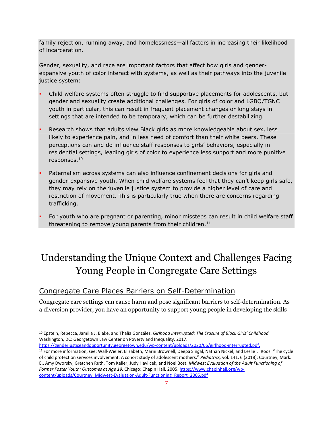family rejection, running away, and homelessness—all factors in increasing their likelihood of incarceration.

Gender, sexuality, and race are important factors that affect how girls and genderexpansive youth of color interact with systems, as well as their pathways into the juvenile justice system:

- Child welfare systems often struggle to find supportive placements for adolescents, but gender and sexuality create additional challenges. For girls of color and LGBQ/TGNC youth in particular, this can result in frequent placement changes or long stays in settings that are intended to be temporary, which can be further destabilizing.
- Research shows that adults view Black girls as more knowledgeable about sex, less likely to experience pain, and in less need of comfort than their white peers. These perceptions can and do influence staff responses to girls' behaviors, especially in residential settings, leading girls of color to experience less support and more punitive responses. 10
- Paternalism across systems can also influence confinement decisions for girls and gender-expansive youth. When child welfare systems feel that they can't keep girls safe, they may rely on the juvenile justice system to provide a higher level of care and restriction of movement. This is particularly true when there are concerns regarding trafficking.
- For youth who are pregnant or parenting, minor missteps can result in child welfare staff threatening to remove young parents from their children. $11$

# <span id="page-7-0"></span>Understanding the Unique Context and Challenges Facing Young People in Congregate Care Settings

# <span id="page-7-1"></span>Congregate Care Places Barriers on Self-Determination

Congregate care settings can cause harm and pose significant barriers to self-determination. As a diversion provider, you have an opportunity to support young people in developing the skills

<https://genderjusticeandopportunity.georgetown.edu/wp-content/uploads/2020/06/girlhood-interrupted.pdf.>

<sup>10</sup> Epstein, Rebecca, Jamilia J. Blake, and Thalia González. *Girlhood Interrupted: The Erasure of Black Girls' Childhood.*  Washington, DC: Georgetown Law Center on Poverty and Inequality, 2017.

<sup>11</sup> For more information, see: Wall-Wieler, Elizabeth, Marni Brownell, Deepa Singal, Nathan Nickel, and Leslie L. Roos. "The cycle of child protection services involvement: A cohort study of adolescent mothers." *Pediatrics,* vol. 141, 6 (2018); Courtney, Mark. E., Amy Dworsky, Gretchen Ruth, Tom Keller, Judy Havlicek, and Noel Bost. *Midwest Evaluation of the Adult Functioning of Former Foster Youth: Outcomes at Age 19.* Chicago: Chapin Hall, 2005[. https://www.chapinhall.org/wp](https://www.chapinhall.org/wp-content/uploads/Courtney_Midwest-Evaluation-Adult-Functioning_Report_2005.pdf)[content/uploads/Courtney\\_Midwest-Evaluation-Adult-Functioning\\_Report\\_2005.pdf](https://www.chapinhall.org/wp-content/uploads/Courtney_Midwest-Evaluation-Adult-Functioning_Report_2005.pdf)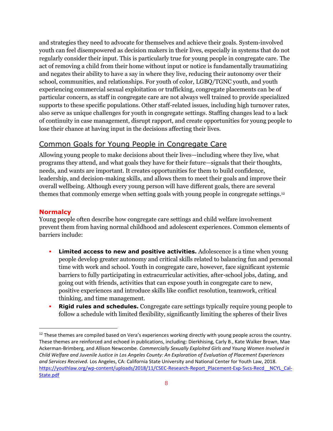and strategies they need to advocate for themselves and achieve their goals. System-involved youth can feel disempowered as decision makers in their lives, especially in systems that do not regularly consider their input. This is particularly true for young people in congregate care. The act of removing a child from their home without input or notice is fundamentally traumatizing and negates their ability to have a say in where they live, reducing their autonomy over their school, communities, and relationships. For youth of color, LGBQ/TGNC youth, and youth experiencing commercial sexual exploitation or trafficking, congregate placements can be of particular concern, as staff in congregate care are not always well trained to provide specialized supports to these specific populations. Other staff-related issues, including high turnover rates, also serve as unique challenges for youth in congregate settings. Staffing changes lead to a lack of continuity in case management, disrupt rapport, and create opportunities for young people to lose their chance at having input in the decisions affecting their lives.

# <span id="page-8-0"></span>Common Goals for Young People in Congregate Care

Allowing young people to make decisions about their lives—including where they live, what programs they attend, and what goals they have for their future—signals that their thoughts, needs, and wants are important. It creates opportunities for them to build confidence, leadership, and decision-making skills, and allows them to meet their goals and improve their overall wellbeing. Although every young person will have different goals, there are several themes that commonly emerge when setting goals with young people in congregate settings. 12

### **Normalcy**

Young people often describe how congregate care settings and child welfare involvement prevent them from having normal childhood and adolescent experiences. Common elements of barriers include:

- Limited access to new and positive activities. Adolescence is a time when young people develop greater autonomy and critical skills related to balancing fun and personal time with work and school. Youth in congregate care, however, face significant systemic barriers to fully participating in extracurricular activities, after-school jobs, dating, and going out with friends, activities that can expose youth in congregate care to new, positive experiences and introduce skills like conflict resolution, teamwork, critical thinking, and time management.
- **Rigid rules and schedules.** Congregate care settings typically require young people to follow a schedule with limited flexibility, significantly limiting the spheres of their lives

 $12$  These themes are compiled based on Vera's experiences working directly with young people across the country. These themes are reinforced and echoed in publications, including: Dierkhising, Carly B., Kate Walker Brown, Mae Ackerman-Brimberg, and Allison Newcombe. *Commercially Sexually Exploited Girls and Young Women Involved in Child Welfare and Juvenile Justice in Los Angeles County: An Exploration of Evaluation of Placement Experiences and Services Received.* Los Angeles, CA: California State University and National Center for Youth Law, 2018. [https://youthlaw.org/wp-content/uploads/2018/11/CSEC-Research-Report\\_Placement-Exp-Svcs-Recd\\_\\_NCYL\\_Cal-](https://youthlaw.org/wp-content/uploads/2018/11/CSEC-Research-Report_Placement-Exp-Svcs-Recd__NCYL_Cal-State.pdf)[State.pdf](https://youthlaw.org/wp-content/uploads/2018/11/CSEC-Research-Report_Placement-Exp-Svcs-Recd__NCYL_Cal-State.pdf)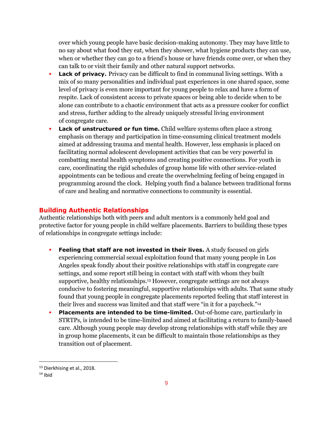over which young people have basic decision-making autonomy. They may have little to no say about what food they eat, when they shower, what hygiene products they can use, when or whether they can go to a friend's house or have friends come over, or when they can talk to or visit their family and other natural support networks.

- **Lack of privacy.** Privacy can be difficult to find in communal living settings. With a mix of so many personalities and individual past experiences in one shared space, some level of privacy is even more important for young people to relax and have a form of respite. Lack of consistent access to private spaces or being able to decide when to be alone can contribute to a chaotic environment that acts as a pressure cooker for conflict and stress, further adding to the already uniquely stressful living environment of congregate care.
- Lack of unstructured or fun time. Child welfare systems often place a strong emphasis on therapy and participation in time-consuming clinical treatment models aimed at addressing trauma and mental health. However, less emphasis is placed on facilitating normal adolescent development activities that can be very powerful in combatting mental health symptoms and creating positive connections. For youth in care, coordinating the rigid schedules of group home life with other service-related appointments can be tedious and create the overwhelming feeling of being engaged in programming around the clock. Helping youth find a balance between traditional forms of care and healing and normative connections to community is essential.

#### **Building Authentic Relationships**

Authentic relationships both with peers and adult mentors is a commonly held goal and protective factor for young people in child welfare placements. Barriers to building these types of relationships in congregate settings include:

- **Feeling that staff are not invested in their lives.** A study focused on girls experiencing commercial sexual exploitation found that many young people in Los Angeles speak fondly about their positive relationships with staff in congregate care settings, and some report still being in contact with staff with whom they built supportive, healthy relationships.<sup>13</sup> However, congregate settings are not always conducive to fostering meaningful, supportive relationships with adults. That same study found that young people in congregate placements reported feeling that staff interest in their lives and success was limited and that staff were "in it for a paycheck."<sup>14</sup>
- Placements are intended to be time-limited. Out-of-home care, particularly in STRTPs, is intended to be time-limited and aimed at facilitating a return to family-based care. Although young people may develop strong relationships with staff while they are in group home placements, it can be difficult to maintain those relationships as they transition out of placement.

<sup>13</sup> Dierkhising et al., 2018.

 $14$  Ibid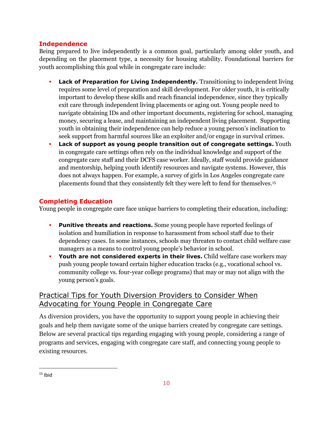## **Independence**

Being prepared to live independently is a common goal, particularly among older youth, and depending on the placement type, a necessity for housing stability. Foundational barriers for youth accomplishing this goal while in congregate care include:

- **Lack of Preparation for Living Independently.** Transitioning to independent living requires some level of preparation and skill development. For older youth, it is critically important to develop these skills and reach financial independence, since they typically exit care through independent living placements or aging out. Young people need to navigate obtaining IDs and other important documents, registering for school, managing money, securing a lease, and maintaining an independent living placement. Supporting youth in obtaining their independence can help reduce a young person's inclination to seek support from harmful sources like an exploiter and/or engage in survival crimes.
- **Lack of support as young people transition out of congregate settings.** Youth in congregate care settings often rely on the individual knowledge and support of the congregate care staff and their DCFS case worker. Ideally, staff would provide guidance and mentorship, helping youth identify resources and navigate systems. However, this does not always happen. For example, a survey of girls in Los Angeles congregate care placements found that they consistently felt they were left to fend for themselves.<sup>15</sup>

## **Completing Education**

Young people in congregate care face unique barriers to completing their education, including:

- **Punitive threats and reactions.** Some young people have reported feelings of isolation and humiliation in response to harassment from school staff due to their dependency cases. In some instances, schools may threaten to contact child welfare case managers as a means to control young people's behavior in school.
- **Youth are not considered experts in their lives.** Child welfare case workers may push young people toward certain higher education tracks (e.g., vocational school vs. community college vs. four-year college programs) that may or may not align with the young person's goals.

# <span id="page-10-0"></span>Practical Tips for Youth Diversion Providers to Consider When Advocating for Young People in Congregate Care

As diversion providers, you have the opportunity to support young people in achieving their goals and help them navigate some of the unique barriers created by congregate care settings. Below are several practical tips regarding engaging with young people, considering a range of programs and services, engaging with congregate care staff, and connecting young people to existing resources.

 $15$  Ibid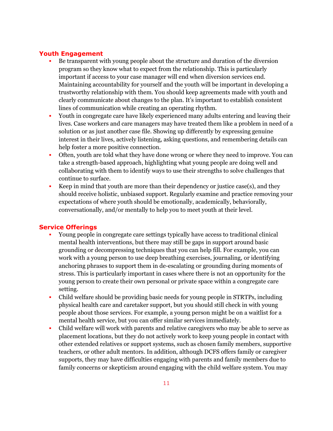### **Youth Engagement**

- Be transparent with young people about the structure and duration of the diversion program so they know what to expect from the relationship. This is particularly important if access to your case manager will end when diversion services end. Maintaining accountability for yourself and the youth will be important in developing a trustworthy relationship with them. You should keep agreements made with youth and clearly communicate about changes to the plan. It's important to establish consistent lines of communication while creating an operating rhythm.
- Youth in congregate care have likely experienced many adults entering and leaving their lives. Case workers and care managers may have treated them like a problem in need of a solution or as just another case file. Showing up differently by expressing genuine interest in their lives, actively listening, asking questions, and remembering details can help foster a more positive connection.
- Often, youth are told what they have done wrong or where they need to improve. You can take a strength-based approach, highlighting what young people are doing well and collaborating with them to identify ways to use their strengths to solve challenges that continue to surface.
- Keep in mind that youth are more than their dependency or justice case(s), and they should receive holistic, unbiased support. Regularly examine and practice removing your expectations of where youth should be emotionally, academically, behaviorally, conversationally, and/or mentally to help you to meet youth at their level.

#### **Service Offerings**

- Young people in congregate care settings typically have access to traditional clinical mental health interventions, but there may still be gaps in support around basic grounding or decompressing techniques that you can help fill. For example, you can work with a young person to use deep breathing exercises, journaling, or identifying anchoring phrases to support them in de-escalating or grounding during moments of stress. This is particularly important in cases where there is not an opportunity for the young person to create their own personal or private space within a congregate care setting.
- Child welfare should be providing basic needs for young people in STRTPs, including physical health care and caretaker support, but you should still check in with young people about those services. For example, a young person might be on a waitlist for a mental health service, but you can offer similar services immediately.
- Child welfare will work with parents and relative caregivers who may be able to serve as placement locations, but they do not actively work to keep young people in contact with other extended relatives or support systems, such as chosen family members, supportive teachers, or other adult mentors. In addition, although DCFS offers family or caregiver supports, they may have difficulties engaging with parents and family members due to family concerns or skepticism around engaging with the child welfare system. You may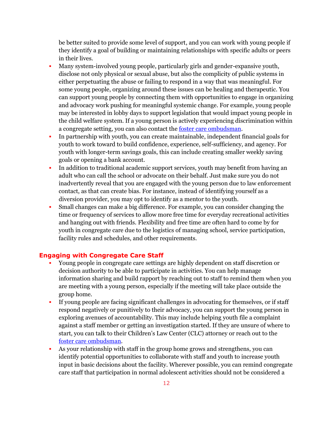be better suited to provide some level of support, and you can work with young people if they identify a goal of building or maintaining relationships with specific adults or peers in their lives.

- Many system-involved young people, particularly girls and gender-expansive youth, disclose not only physical or sexual abuse, but also the complicity of public systems in either perpetuating the abuse or failing to respond in a way that was meaningful. For some young people, organizing around these issues can be healing and therapeutic. You can support young people by connecting them with opportunities to engage in organizing and advocacy work pushing for meaningful systemic change. For example, young people may be interested in lobby days to support legislation that would impact young people in the child welfare system. If a young person is actively experiencing discrimination within a congregate setting, you can also contact the [foster care ombudsman.](https://fosteryouthhelp.ca.gov/)
- In partnership with youth, you can create maintainable, independent financial goals for youth to work toward to build confidence, experience, self-sufficiency, and agency. For youth with longer-term savings goals, this can include creating smaller weekly saving goals or opening a bank account.
- **·** In addition to traditional academic support services, youth may benefit from having an adult who can call the school or advocate on their behalf. Just make sure you do not inadvertently reveal that you are engaged with the young person due to law enforcement contact, as that can create bias. For instance, instead of identifying yourself as a diversion provider, you may opt to identify as a mentor to the youth.
- Small changes can make a big difference. For example, you can consider changing the time or frequency of services to allow more free time for everyday recreational activities and hanging out with friends. Flexibility and free time are often hard to come by for youth in congregate care due to the logistics of managing school, service participation, facility rules and schedules, and other requirements.

### **Engaging with Congregate Care Staff**

- Young people in congregate care settings are highly dependent on staff discretion or decision authority to be able to participate in activities. You can help manage information sharing and build rapport by reaching out to staff to remind them when you are meeting with a young person, especially if the meeting will take place outside the group home.
- If young people are facing significant challenges in advocating for themselves, or if staff respond negatively or punitively to their advocacy, you can support the young person in exploring avenues of accountability. This may include helping youth file a complaint against a staff member or getting an investigation started. If they are unsure of where to start, you can talk to their Children's Law Center (CLC) attorney or reach out to the [foster care ombudsman.](https://fosteryouthhelp.ca.gov/)
- As your relationship with staff in the group home grows and strengthens, you can identify potential opportunities to collaborate with staff and youth to increase youth input in basic decisions about the facility. Wherever possible, you can remind congregate care staff that participation in normal adolescent activities should not be considered a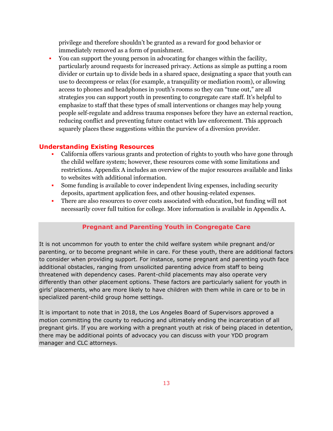privilege and therefore shouldn't be granted as a reward for good behavior or immediately removed as a form of punishment.

▪ You can support the young person in advocating for changes within the facility, particularly around requests for increased privacy. Actions as simple as putting a room divider or curtain up to divide beds in a shared space, designating a space that youth can use to decompress or relax (for example, a tranquility or mediation room), or allowing access to phones and headphones in youth's rooms so they can "tune out," are all strategies you can support youth in presenting to congregate care staff. It's helpful to emphasize to staff that these types of small interventions or changes may help young people self-regulate and address trauma responses before they have an external reaction, reducing conflict and preventing future contact with law enforcement. This approach squarely places these suggestions within the purview of a diversion provider.

### **Understanding Existing Resources**

- California offers various grants and protection of rights to youth who have gone through the child welfare system; however, these resources come with some limitations and restrictions. Appendix A includes an overview of the major resources available and links to websites with additional information.
- Some funding is available to cover independent living expenses, including security deposits, apartment application fees, and other housing-related expenses.
- There are also resources to cover costs associated with education, but funding will not necessarily cover full tuition for college. More information is available in Appendix A.

#### **Pregnant and Parenting Youth in Congregate Care**

It is not uncommon for youth to enter the child welfare system while pregnant and/or parenting, or to become pregnant while in care. For these youth, there are additional factors to consider when providing support. For instance, some pregnant and parenting youth face additional obstacles, ranging from unsolicited parenting advice from staff to being threatened with dependency cases. Parent-child placements may also operate very differently than other placement options. These factors are particularly salient for youth in girls' placements, who are more likely to have children with them while in care or to be in specialized parent-child group home settings.

It is important to note that in 2018, the Los Angeles Board of Supervisors approved a motion committing the county to reducing and ultimately ending the incarceration of all pregnant girls. If you are working with a pregnant youth at risk of being placed in detention, there may be additional points of advocacy you can discuss with your YDD program manager and CLC attorneys.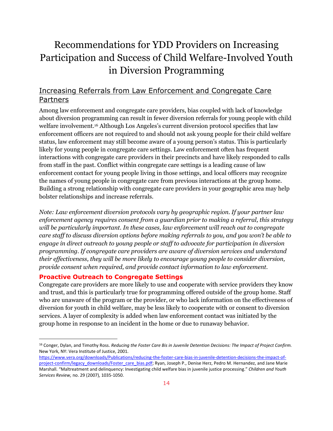# <span id="page-14-0"></span>Recommendations for YDD Providers on Increasing Participation and Success of Child Welfare-Involved Youth in Diversion Programming

# <span id="page-14-1"></span>Increasing Referrals from Law Enforcement and Congregate Care Partners

Among law enforcement and congregate care providers, bias coupled with lack of knowledge about diversion programming can result in fewer diversion referrals for young people with child welfare involvement. <sup>16</sup> Although Los Angeles's current diversion protocol specifies that law enforcement officers are not required to and should not ask young people for their child welfare status, law enforcement may still become aware of a young person's status. This is particularly likely for young people in congregate care settings. Law enforcement often has frequent interactions with congregate care providers in their precincts and have likely responded to calls from staff in the past. Conflict within congregate care settings is a leading cause of law enforcement contact for young people living in those settings, and local officers may recognize the names of young people in congregate care from previous interactions at the group home. Building a strong relationship with congregate care providers in your geographic area may help bolster relationships and increase referrals.

*Note: Law enforcement diversion protocols vary by geographic region. If your partner law enforcement agency requires consent from a guardian prior to making a referral, this strategy will be particularly important. In these cases, law enforcement will reach out to congregate care staff to discuss diversion options before making referrals to you, and you won't be able to engage in direct outreach to young people or staff to advocate for participation in diversion programming. If congregate care providers are aware of diversion services and understand their effectiveness, they will be more likely to encourage young people to consider diversion, provide consent when required, and provide contact information to law enforcement.*

#### **Proactive Outreach to Congregate Settings**

Congregate care providers are more likely to use and cooperate with service providers they know and trust, and this is particularly true for programming offered outside of the group home. Staff who are unaware of the program or the provider, or who lack information on the effectiveness of diversion for youth in child welfare, may be less likely to cooperate with or consent to diversion services. A layer of complexity is added when law enforcement contact was initiated by the group home in response to an incident in the home or due to runaway behavior.

<sup>16</sup> Conger, Dylan, and Timothy Ross. *Reducing the Foster Care Bis in Juvenile Detention Decisions: The Impact of Project Confirm.*  New York, NY: Vera Institute of Justice, 2001.

[https://www.vera.org/downloads/Publications/reducing-the-foster-care-bias-in-juvenile-detention-decisions-the-impact-of](https://www.vera.org/downloads/Publications/reducing-the-foster-care-bias-in-juvenile-detention-decisions-the-impact-of-project-confirm/legacy_downloads/Foster_care_bias.pdf)[project-confirm/legacy\\_downloads/Foster\\_care\\_bias.pdf;](https://www.vera.org/downloads/Publications/reducing-the-foster-care-bias-in-juvenile-detention-decisions-the-impact-of-project-confirm/legacy_downloads/Foster_care_bias.pdf) Ryan, Joseph P., Denise Herz, Pedro M. Hernandez, and Jane Marie Marshall. "Maltreatment and delinquency: Investigating child welfare bias in juvenile justice processing." *Children and Youth Services Review,* no. 29 (2007), 1035-1050.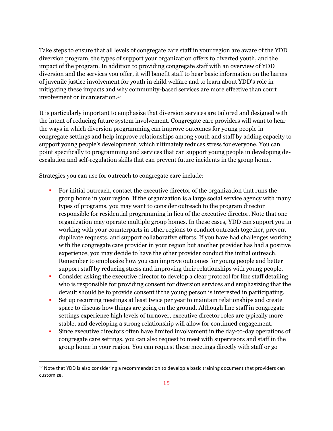Take steps to ensure that all levels of congregate care staff in your region are aware of the YDD diversion program, the types of support your organization offers to diverted youth, and the impact of the program. In addition to providing congregate staff with an overview of YDD diversion and the services you offer, it will benefit staff to hear basic information on the harms of juvenile justice involvement for youth in child welfare and to learn about YDD's role in mitigating these impacts and why community-based services are more effective than court involvement or incarceration. 17

It is particularly important to emphasize that diversion services are tailored and designed with the intent of reducing future system involvement. Congregate care providers will want to hear the ways in which diversion programming can improve outcomes for young people in congregate settings and help improve relationships among youth and staff by adding capacity to support young people's development, which ultimately reduces stress for everyone. You can point specifically to programming and services that can support young people in developing deescalation and self-regulation skills that can prevent future incidents in the group home.

Strategies you can use for outreach to congregate care include:

- For initial outreach, contact the executive director of the organization that runs the group home in your region. If the organization is a large social service agency with many types of programs, you may want to consider outreach to the program director responsible for residential programming in lieu of the executive director. Note that one organization may operate multiple group homes. In these cases, YDD can support you in working with your counterparts in other regions to conduct outreach together, prevent duplicate requests, and support collaborative efforts. If you have had challenges working with the congregate care provider in your region but another provider has had a positive experience, you may decide to have the other provider conduct the initial outreach. Remember to emphasize how you can improve outcomes for young people and better support staff by reducing stress and improving their relationships with young people.
- Consider asking the executive director to develop a clear protocol for line staff detailing who is responsible for providing consent for diversion services and emphasizing that the default should be to provide consent if the young person is interested in participating.
- Set up recurring meetings at least twice per year to maintain relationships and create space to discuss how things are going on the ground. Although line staff in congregate settings experience high levels of turnover, executive director roles are typically more stable, and developing a strong relationship will allow for continued engagement.
- Since executive directors often have limited involvement in the day-to-day operations of congregate care settings, you can also request to meet with supervisors and staff in the group home in your region. You can request these meetings directly with staff or go

<sup>&</sup>lt;sup>17</sup> Note that YDD is also considering a recommendation to develop a basic training document that providers can customize.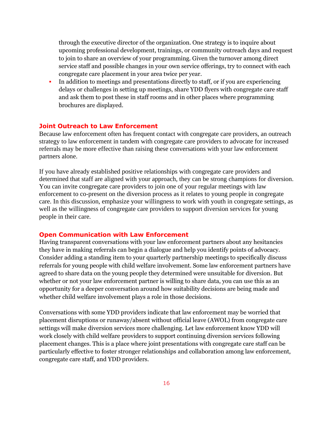through the executive director of the organization. One strategy is to inquire about upcoming professional development, trainings, or community outreach days and request to join to share an overview of your programming. Given the turnover among direct service staff and possible changes in your own service offerings, try to connect with each congregate care placement in your area twice per year.

▪ In addition to meetings and presentations directly to staff, or if you are experiencing delays or challenges in setting up meetings, share YDD flyers with congregate care staff and ask them to post these in staff rooms and in other places where programming brochures are displayed*.* 

#### **Joint Outreach to Law Enforcement**

Because law enforcement often has frequent contact with congregate care providers, an outreach strategy to law enforcement in tandem with congregate care providers to advocate for increased referrals may be more effective than raising these conversations with your law enforcement partners alone.

If you have already established positive relationships with congregate care providers and determined that staff are aligned with your approach, they can be strong champions for diversion. You can invite congregate care providers to join one of your regular meetings with law enforcement to co-present on the diversion process as it relates to young people in congregate care. In this discussion, emphasize your willingness to work with youth in congregate settings, as well as the willingness of congregate care providers to support diversion services for young people in their care.

#### **Open Communication with Law Enforcement**

Having transparent conversations with your law enforcement partners about any hesitancies they have in making referrals can begin a dialogue and help you identify points of advocacy. Consider adding a standing item to your quarterly partnership meetings to specifically discuss referrals for young people with child welfare involvement. Some law enforcement partners have agreed to share data on the young people they determined were unsuitable for diversion. But whether or not your law enforcement partner is willing to share data, you can use this as an opportunity for a deeper conversation around how suitability decisions are being made and whether child welfare involvement plays a role in those decisions.

Conversations with some YDD providers indicate that law enforcement may be worried that placement disruptions or runaway/absent without official leave (AWOL) from congregate care settings will make diversion services more challenging. Let law enforcement know YDD will work closely with child welfare providers to support continuing diversion services following placement changes. This is a place where joint presentations with congregate care staff can be particularly effective to foster stronger relationships and collaboration among law enforcement, congregate care staff, and YDD providers.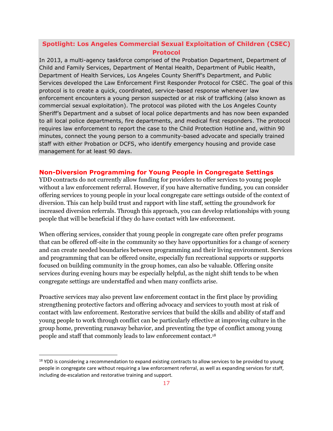### **Spotlight: Los Angeles Commercial Sexual Exploitation of Children (CSEC) Protocol**

In 2013, a multi-agency taskforce comprised of the Probation Department, Department of Child and Family Services, Department of Mental Health, Department of Public Health, Department of Health Services, Los Angeles County Sheriff's Department, and Public Services developed the Law Enforcement First Responder Protocol for CSEC. The goal of this protocol is to create a quick, coordinated, service-based response whenever law enforcement encounters a young person suspected or at risk of trafficking (also known as commercial sexual exploitation). The protocol was piloted with the Los Angeles County Sheriff's Department and a subset of local police departments and has now been expanded to all local police departments, fire departments, and medical first responders. The protocol requires law enforcement to report the case to the Child Protection Hotline and, within 90 minutes, connect the young person to a community-based advocate and specially trained staff with either Probation or DCFS, who identify emergency housing and provide case management for at least 90 days.

#### **Non-Diversion Programming for Young People in Congregate Settings**

YDD contracts do not currently allow funding for providers to offer services to young people without a law enforcement referral. However, if you have alternative funding, you can consider offering services to young people in your local congregate care settings outside of the context of diversion. This can help build trust and rapport with line staff, setting the groundwork for increased diversion referrals. Through this approach, you can develop relationships with young people that will be beneficial if they do have contact with law enforcement.

When offering services, consider that young people in congregate care often prefer programs that can be offered off-site in the community so they have opportunities for a change of scenery and can create needed boundaries between programming and their living environment. Services and programming that can be offered onsite, especially fun recreational supports or supports focused on building community in the group homes, can also be valuable. Offering onsite services during evening hours may be especially helpful, as the night shift tends to be when congregate settings are understaffed and when many conflicts arise.

Proactive services may also prevent law enforcement contact in the first place by providing strengthening protective factors and offering advocacy and services to youth most at risk of contact with law enforcement. Restorative services that build the skills and ability of staff and young people to work through conflict can be particularly effective at improving culture in the group home, preventing runaway behavior, and preventing the type of conflict among young people and staff that commonly leads to law enforcement contact.<sup>18</sup>

<sup>&</sup>lt;sup>18</sup> YDD is considering a recommendation to expand existing contracts to allow services to be provided to young people in congregate care without requiring a law enforcement referral, as well as expanding services for staff, including de-escalation and restorative training and support.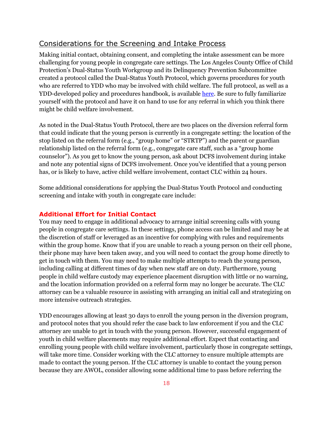### <span id="page-18-0"></span>Considerations for the Screening and Intake Process

Making initial contact, obtaining consent, and completing the intake assessment can be more challenging for young people in congregate care settings. The Los Angeles County Office of Child Protection's Dual-Status Youth Workgroup and its Delinquency Prevention Subcommittee created a protocol called the Dual-Status Youth Protocol, which governs procedures for youth who are referred to YDD who may be involved with child welfare. The full protocol, as well as a YDD-developed policy and procedures handbook, is availabl[e here.](https://docs.google.com/document/d/1DbvlQThHvKvO9jFXLb68bIji5R7yp--6RmdH0JRNrzk/edit?usp=sharing) Be sure to fully familiarize yourself with the protocol and have it on hand to use for any referral in which you think there might be child welfare involvement.

As noted in the Dual-Status Youth Protocol, there are two places on the diversion referral form that could indicate that the young person is currently in a congregate setting: the location of the stop listed on the referral form (e.g., "group home" or "STRTP") and the parent or guardian relationship listed on the referral form (e.g., congregate care staff, such as a "group home counselor"). As you get to know the young person, ask about DCFS involvement during intake and note any potential signs of DCFS involvement. Once you've identified that a young person has, or is likely to have, active child welfare involvement, contact CLC within 24 hours.

Some additional considerations for applying the Dual-Status Youth Protocol and conducting screening and intake with youth in congregate care include:

#### **Additional Effort for Initial Contact**

You may need to engage in additional advocacy to arrange initial screening calls with young people in congregate care settings. In these settings, phone access can be limited and may be at the discretion of staff or leveraged as an incentive for complying with rules and requirements within the group home. Know that if you are unable to reach a young person on their cell phone, their phone may have been taken away, and you will need to contact the group home directly to get in touch with them. You may need to make multiple attempts to reach the young person, including calling at different times of day when new staff are on duty. Furthermore, young people in child welfare custody may experience placement disruption with little or no warning, and the location information provided on a referral form may no longer be accurate. The CLC attorney can be a valuable resource in assisting with arranging an initial call and strategizing on more intensive outreach strategies.

YDD encourages allowing at least 30 days to enroll the young person in the diversion program, and protocol notes that you should refer the case back to law enforcement if you and the CLC attorney are unable to get in touch with the young person. However, successful engagement of youth in child welfare placements may require additional effort. Expect that contacting and enrolling young people with child welfare involvement, particularly those in congregate settings, will take more time. Consider working with the CLC attorney to ensure multiple attempts are made to contact the young person. If the CLC attorney is unable to contact the young person because they are AWOL, consider allowing some additional time to pass before referring the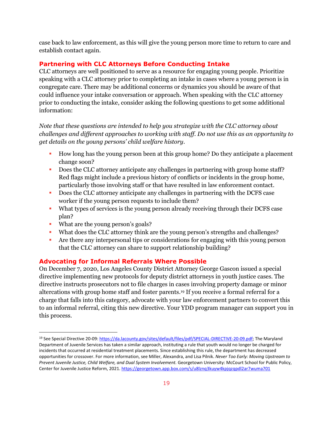case back to law enforcement, as this will give the young person more time to return to care and establish contact again.

## **Partnering with CLC Attorneys Before Conducting Intake**

CLC attorneys are well positioned to serve as a resource for engaging young people. Prioritize speaking with a CLC attorney prior to completing an intake in cases where a young person is in congregate care. There may be additional concerns or dynamics you should be aware of that could influence your intake conversation or approach. When speaking with the CLC attorney prior to conducting the intake, consider asking the following questions to get some additional information:

## *Note that these questions are intended to help you strategize with the CLC attorney about challenges and different approaches to working with staff. Do not use this as an opportunity to get details on the young persons' child welfare history.*

- How long has the young person been at this group home? Do they anticipate a placement change soon?
- Does the CLC attorney anticipate any challenges in partnering with group home staff? Red flags might include a previous history of conflicts or incidents in the group home, particularly those involving staff or that have resulted in law enforcement contact.
- Does the CLC attorney anticipate any challenges in partnering with the DCFS case worker if the young person requests to include them?
- What types of services is the young person already receiving through their DCFS case plan?
- What are the young person's goals?
- What does the CLC attorney think are the young person's strengths and challenges?
- Are there any interpersonal tips or considerations for engaging with this young person that the CLC attorney can share to support relationship building?

## **Advocating for Informal Referrals Where Possible**

On December 7, 2020, Los Angeles County District Attorney George Gascon issued a special directive implementing new protocols for deputy district attorneys in youth justice cases. The directive instructs prosecutors not to file charges in cases involving property damage or minor altercations with group home staff and foster parents.<sup>19</sup> If you receive a formal referral for a charge that falls into this category, advocate with your law enforcement partners to convert this to an informal referral, citing this new directive. Your YDD program manager can support you in this process.

<sup>&</sup>lt;sup>19</sup> See Special Directive 20-09: [https://da.lacounty.gov/sites/default/files/pdf/SPECIAL-DIRECTIVE-20-09.pdf;](https://da.lacounty.gov/sites/default/files/pdf/SPECIAL-DIRECTIVE-20-09.pdf) The Maryland Department of Juvenile Services has taken a similar approach, instituting a rule that youth would no longer be charged for incidents that occurred at residential treatment placements. Since establishing this rule, the department has decreased opportunities for crossover. For more information, see Miller, Alexandra, and Lisa Pilnik. *Never Too Early: Moving Upstream to*  Prevent Juvenile Justice, Child Welfare, and Dual System Involvement. Georgetown University: McCourt School for Public Policy, Center for Juvenile Justice Reform, 2021[. https://georgetown.app.box.com/s/u8lznq3kuyw4kpjqzqpdl2ar7wuma701](https://georgetown.app.box.com/s/u8lznq3kuyw4kpjqzqpdl2ar7wuma701)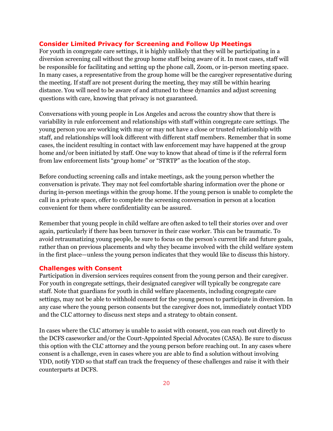#### **Consider Limited Privacy for Screening and Follow Up Meetings**

For youth in congregate care settings, it is highly unlikely that they will be participating in a diversion screening call without the group home staff being aware of it. In most cases, staff will be responsible for facilitating and setting up the phone call, Zoom, or in-person meeting space. In many cases, a representative from the group home will be the caregiver representative during the meeting. If staff are not present during the meeting, they may still be within hearing distance. You will need to be aware of and attuned to these dynamics and adjust screening questions with care, knowing that privacy is not guaranteed.

Conversations with young people in Los Angeles and across the country show that there is variability in rule enforcement and relationships with staff within congregate care settings. The young person you are working with may or may not have a close or trusted relationship with staff, and relationships will look different with different staff members. Remember that in some cases, the incident resulting in contact with law enforcement may have happened at the group home and/or been initiated by staff. One way to know that ahead of time is if the referral form from law enforcement lists "group home" or "STRTP" as the location of the stop.

Before conducting screening calls and intake meetings, ask the young person whether the conversation is private. They may not feel comfortable sharing information over the phone or during in-person meetings within the group home. If the young person is unable to complete the call in a private space, offer to complete the screening conversation in person at a location convenient for them where confidentiality can be assured.

Remember that young people in child welfare are often asked to tell their stories over and over again, particularly if there has been turnover in their case worker. This can be traumatic. To avoid retraumatizing young people, be sure to focus on the person's current life and future goals, rather than on previous placements and why they became involved with the child welfare system in the first place—unless the young person indicates that they would like to discuss this history.

#### **Challenges with Consent**

Participation in diversion services requires consent from the young person and their caregiver. For youth in congregate settings, their designated caregiver will typically be congregate care staff. Note that guardians for youth in child welfare placements, including congregate care settings, may not be able to withhold consent for the young person to participate in diversion. In any case where the young person consents but the caregiver does not, immediately contact YDD and the CLC attorney to discuss next steps and a strategy to obtain consent.

In cases where the CLC attorney is unable to assist with consent, you can reach out directly to the DCFS caseworker and/or the Court-Appointed Special Advocates (CASA). Be sure to discuss this option with the CLC attorney and the young person before reaching out. In any cases where consent is a challenge, even in cases where you are able to find a solution without involving YDD, notify YDD so that staff can track the frequency of these challenges and raise it with their counterparts at DCFS.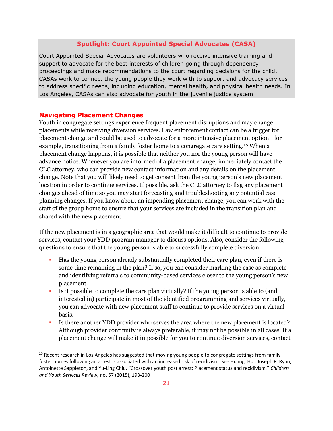#### **Spotlight: Court Appointed Special Advocates (CASA)**

Court Appointed Special Advocates are volunteers who receive intensive training and support to advocate for the best interests of children going through dependency proceedings and make recommendations to the court regarding decisions for the child. CASAs work to connect the young people they work with to support and advocacy services to address specific needs, including education, mental health, and physical health needs. In Los Angeles, CASAs can also advocate for youth in the juvenile justice system

#### **Navigating Placement Changes**

Youth in congregate settings experience frequent placement disruptions and may change placements while receiving diversion services. Law enforcement contact can be a trigger for placement change and could be used to advocate for a more intensive placement option—for example, transitioning from a family foster home to a congregate care setting. <sup>20</sup> When a placement change happens, it is possible that neither you nor the young person will have advance notice. Whenever you are informed of a placement change, immediately contact the CLC attorney, who can provide new contact information and any details on the placement change. Note that you will likely need to get consent from the young person's new placement location in order to continue services. If possible, ask the CLC attorney to flag any placement changes ahead of time so you may start forecasting and troubleshooting any potential case planning changes. If you know about an impending placement change, you can work with the staff of the group home to ensure that your services are included in the transition plan and shared with the new placement.

If the new placement is in a geographic area that would make it difficult to continue to provide services, contact your YDD program manager to discuss options. Also, consider the following questions to ensure that the young person is able to successfully complete diversion:

- Has the young person already substantially completed their care plan, even if there is some time remaining in the plan? If so, you can consider marking the case as complete and identifying referrals to community-based services closer to the young person's new placement.
- Is it possible to complete the care plan virtually? If the young person is able to (and interested in) participate in most of the identified programming and services virtually, you can advocate with new placement staff to continue to provide services on a virtual basis.
- Is there another YDD provider who serves the area where the new placement is located? Although provider continuity is always preferable, it may not be possible in all cases. If a placement change will make it impossible for you to continue diversion services, contact

<sup>&</sup>lt;sup>20</sup> Recent research in Los Angeles has suggested that moving young people to congregate settings from family foster homes following an arrest is associated with an increased risk of recidivism. See Huang, Hui, Joseph P. Ryan, Antoinette Sappleton, and Yu-Ling Chiu. "Crossover youth post arrest: Placement status and recidivism." *Children and Youth Services Review,* no. 57 (2015), 193-200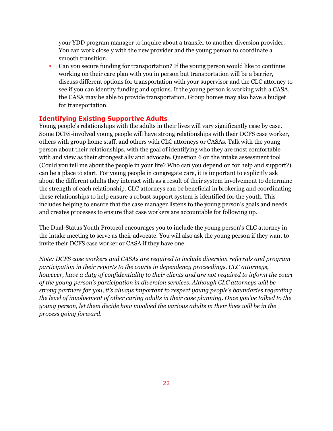your YDD program manager to inquire about a transfer to another diversion provider. You can work closely with the new provider and the young person to coordinate a smooth transition.

▪ Can you secure funding for transportation? If the young person would like to continue working on their care plan with you in person but transportation will be a barrier, discuss different options for transportation with your supervisor and the CLC attorney to see if you can identify funding and options. If the young person is working with a CASA, the CASA may be able to provide transportation. Group homes may also have a budget for transportation.

#### **Identifying Existing Supportive Adults**

Young people's relationships with the adults in their lives will vary significantly case by case. Some DCFS-involved young people will have strong relationships with their DCFS case worker, others with group home staff, and others with CLC attorneys or CASAs. Talk with the young person about their relationships, with the goal of identifying who they are most comfortable with and view as their strongest ally and advocate. Question 6 on the intake assessment tool (Could you tell me about the people in your life? Who can you depend on for help and support?) can be a place to start. For young people in congregate care, it is important to explicitly ask about the different adults they interact with as a result of their system involvement to determine the strength of each relationship. CLC attorneys can be beneficial in brokering and coordinating these relationships to help ensure a robust support system is identified for the youth. This includes helping to ensure that the case manager listens to the young person's goals and needs and creates processes to ensure that case workers are accountable for following up.

The Dual-Status Youth Protocol encourages you to include the young person's CLC attorney in the intake meeting to serve as their advocate. You will also ask the young person if they want to invite their DCFS case worker or CASA if they have one.

*Note: DCFS case workers and CASAs are required to include diversion referrals and program participation in their reports to the courts in dependency proceedings. CLC attorneys, however, have a duty of confidentiality to their clients and are not required to inform the court of the young person's participation in diversion services. Although CLC attorneys will be strong partners for you, it's always important to respect young people's boundaries regarding the level of involvement of other caring adults in their case planning. Once you've talked to the young person, let them decide how involved the various adults in their lives will be in the process going forward.*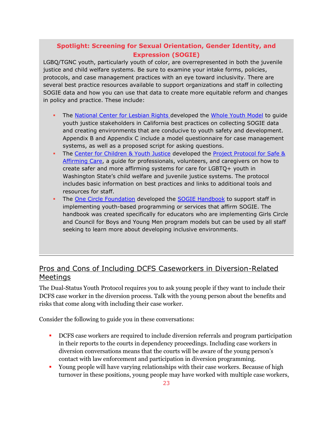# **Spotlight: Screening for Sexual Orientation, Gender Identity, and Expression (SOGIE)**

LGBQ/TGNC youth, particularly youth of color, are overrepresented in both the juvenile justice and child welfare systems. Be sure to examine your intake forms, policies, protocols, and case management practices with an eye toward inclusivity. There are several best practice resources available to support organizations and staff in collecting SOGIE data and how you can use that data to create more equitable reform and changes in policy and practice. These include:

- The [National Center for Lesbian Rights](https://www.nclrights.org/) developed the [Whole Youth Model](https://www.nclrights.org/wp-content/uploads/2020/05/sogie.practice.guide_.17december2019.pdf) to guide youth justice stakeholders in California best practices on collecting SOGIE data and creating environments that are conducive to youth safety and development. Appendix B and Appendix C include a model questionnaire for case management systems, as well as a proposed script for asking questions.
- The [Center for Children & Youth Justice](https://ccyj.org/) developed the Project Protocol for Safe & [Affirming Care,](https://ccyj.org/wp-content/uploads/2017/03/Protocol-for-Safe-Affirming-Care.pdf) a guide for professionals, volunteers, and caregivers on how to create safer and more affirming systems for care for LGBTQ+ youth in Washington State's child welfare and juvenile justice systems. The protocol includes basic information on best practices and links to additional tools and resources for staff.
- The [One Circle Foundation](https://onecirclefoundation.org/) developed the [SOGIE Handbook](https://onecirclefoundation.org/media/pdfs/SOGIE-Handbook.pdf) to support staff in implementing youth-based programming or services that affirm SOGIE. The handbook was created specifically for educators who are implementing Girls Circle and Council for Boys and Young Men program models but can be used by all staff seeking to learn more about developing inclusive environments.

# <span id="page-23-0"></span>Pros and Cons of Including DCFS Caseworkers in Diversion-Related Meetings

The Dual-Status Youth Protocol requires you to ask young people if they want to include their DCFS case worker in the diversion process. Talk with the young person about the benefits and risks that come along with including their case worker.

Consider the following to guide you in these conversations:

- DCFS case workers are required to include diversion referrals and program participation in their reports to the courts in dependency proceedings. Including case workers in diversion conversations means that the courts will be aware of the young person's contact with law enforcement and participation in diversion programming.
- **•** Young people will have varying relationships with their case workers. Because of high turnover in these positions, young people may have worked with multiple case workers,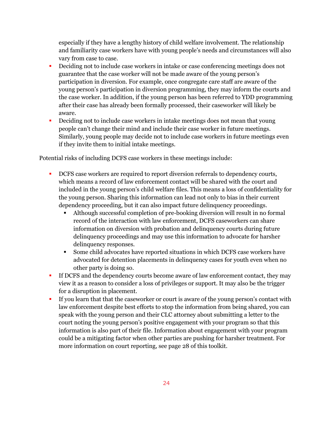especially if they have a lengthy history of child welfare involvement. The relationship and familiarity case workers have with young people's needs and circumstances will also vary from case to case.

- Deciding not to include case workers in intake or case conferencing meetings does not guarantee that the case worker will not be made aware of the young person's participation in diversion. For example, once congregate care staff are aware of the young person's participation in diversion programming, they may inform the courts and the case worker. In addition, if the young person has been referred to YDD programming after their case has already been formally processed, their caseworker will likely be aware.
- Deciding not to include case workers in intake meetings does not mean that young people can't change their mind and include their case worker in future meetings. Similarly, young people may decide not to include case workers in future meetings even if they invite them to initial intake meetings.

Potential risks of including DCFS case workers in these meetings include:

- DCFS case workers are required to report diversion referrals to dependency courts, which means a record of law enforcement contact will be shared with the court and included in the young person's child welfare files. This means a loss of confidentiality for the young person. Sharing this information can lead not only to bias in their current dependency proceeding, but it can also impact future delinquency proceedings.
	- Although successful completion of pre-booking diversion will result in no formal record of the interaction with law enforcement, DCFS caseworkers can share information on diversion with probation and delinquency courts during future delinquency proceedings and may use this information to advocate for harsher delinquency responses.
	- Some child advocates have reported situations in which DCFS case workers have advocated for detention placements in delinquency cases for youth even when no other party is doing so.
- **If DCFS and the dependency courts become aware of law enforcement contact, they may** view it as a reason to consider a loss of privileges or support. It may also be the trigger for a disruption in placement.
- **.** If you learn that that the caseworker or court is aware of the young person's contact with law enforcement despite best efforts to stop the information from being shared, you can speak with the young person and their CLC attorney about submitting a letter to the court noting the young person's positive engagement with your program so that this information is also part of their file. Information about engagement with your program could be a mitigating factor when other parties are pushing for harsher treatment. For more information on court reporting, see page 28 of this toolkit.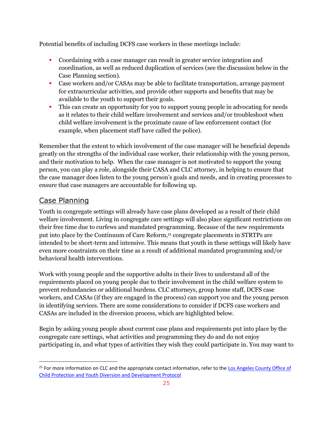Potential benefits of including DCFS case workers in these meetings include:

- Coordaining with a case manager can result in greater service integration and coordination, as well as reduced duplication of services (see the discussion below in the Case Planning section).
- Case workers and/or CASAs may be able to facilitate transportation, arrange payment for extracurricular activities, and provide other supports and benefits that may be available to the youth to support their goals.
- **•** This can create an opportunity for you to support young people in advocating for needs as it relates to their child welfare involvement and services and/or troubleshoot when child welfare involvement is the proximate cause of law enforcement contact (for example, when placement staff have called the police).

Remember that the extent to which involvement of the case manager will be beneficial depends greatly on the strengths of the individual case worker, their relationship with the young person, and their motivation to help. When the case manager is not motivated to support the young person, you can play a role, alongside their CASA and CLC attorney, in helping to ensure that the case manager does listen to the young person's goals and needs, and in creating processes to ensure that case managers are accountable for following up.

## <span id="page-25-0"></span>Case Planning

Youth in congregate settings will already have case plans developed as a result of their child welfare involvement. Living in congregate care settings will also place significant restrictions on their free time due to curfews and mandated programming. Because of the new requirements put into place by the Continuum of Care Reform, <sup>21</sup> congregate placements in STRTPs are intended to be short-term and intensive. This means that youth in these settings will likely have even more constraints on their time as a result of additional mandated programming and/or behavioral health interventions.

Work with young people and the supportive adults in their lives to understand all of the requirements placed on young people due to their involvement in the child welfare system to prevent redundancies or additional burdens. CLC attorneys, group home staff, DCFS case workers, and CASAs (if they are engaged in the process) can support you and the young person in identifying services. There are some considerations to consider if DCFS case workers and CASAs are included in the diversion process, which are highlighted below.

Begin by asking young people about current case plans and requirements put into place by the congregate care settings, what activities and programming they do and do not enjoy participating in, and what types of activities they wish they could participate in. You may want to

<sup>&</sup>lt;sup>21</sup> For more information on CLC and the appropriate contact information, refer to the Los Angeles County Office of Child Protection and [Youth Diversion and Development Protocol](https://docs.google.com/document/d/1yjldUPPMkzCboaMKOd-zgHk9BZQXU7bY/edit)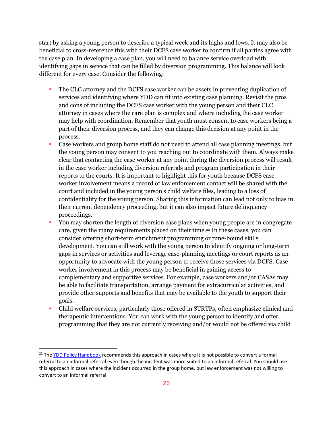start by asking a young person to describe a typical week and its highs and lows. It may also be beneficial to cross-reference this with their DCFS case worker to confirm if all parties agree with the case plan. In developing a case plan, you will need to balance service overload with identifying gaps in service that can be filled by diversion programming. This balance will look different for every case. Consider the following:

- The CLC attorney and the DCFS case worker can be assets in preventing duplication of services and identifying where YDD can fit into existing case planning. Revisit the pros and cons of including the DCFS case worker with the young person and their CLC attorney in cases where the care plan is complex and where including the case worker may help with coordination. Remember that youth must consent to case workers being a part of their diversion process, and they can change this decision at any point in the process.
- Case workers and group home staff do not need to attend all case planning meetings, but the young person may consent to you reaching out to coordinate with them. Always make clear that contacting the case worker at any point during the diversion process will result in the case worker including diversion referrals and program participation in their reports to the courts. It is important to highlight this for youth because DCFS case worker involvement means a record of law enforcement contact will be shared with the court and included in the young person's child welfare files, leading to a loss of confidentiality for the young person. Sharing this information can lead not only to bias in their current dependency proceeding, but it can also impact future delinquency proceedings.
- You may shorten the length of diversion case plans when young people are in congregate care, given the many requirements placed on their time.<sup>22</sup> In these cases, you can consider offering short-term enrichment programming or time-bound skills development. You can still work with the young person to identify ongoing or long-term gaps in services or activities and leverage case-planning meetings or court reports as an opportunity to advocate with the young person to receive those services via DCFS. Case worker involvement in this process may be beneficial in gaining access to complementary and supportive services. For example, case workers and/or CASAs may be able to facilitate transportation, arrange payment for extracurricular activities, and provide other supports and benefits that may be available to the youth to support their goals.
- Child welfare services, particularly those offered in STRTPs, often emphasize clinical and therapeutic interventions. You can work with the young person to identify and offer programming that they are not currently receiving and/or would not be offered via child

<sup>&</sup>lt;sup>22</sup> The [YDD Policy Handbook](https://docs.google.com/document/d/1DbvlQThHvKvO9jFXLb68bIji5R7yp--6RmdH0JRNrzk/edit?usp=sharing) recommends this approach in cases where it is not possible to convert a formal referral to an informal referral even though the incident was more suited to an informal referral. You should use this approach in cases where the incident occurred in the group home, but law enforcement was not willing to convert to an informal referral.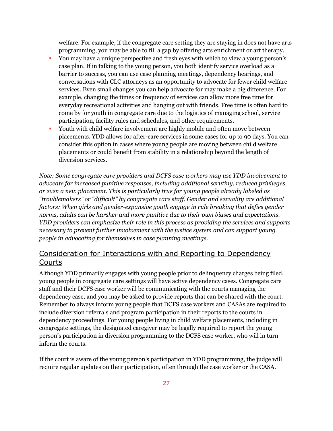welfare. For example, if the congregate care setting they are staying in does not have arts programming, you may be able to fill a gap by offering arts enrichment or art therapy.

- You may have a unique perspective and fresh eyes with which to view a young person's case plan. If in talking to the young person, you both identify service overload as a barrier to success, you can use case planning meetings, dependency hearings, and conversations with CLC attorneys as an opportunity to advocate for fewer child welfare services. Even small changes you can help advocate for may make a big difference. For example, changing the times or frequency of services can allow more free time for everyday recreational activities and hanging out with friends. Free time is often hard to come by for youth in congregate care due to the logistics of managing school, service participation, facility rules and schedules, and other requirements.
- Youth with child welfare involvement are highly mobile and often move between placements. YDD allows for after-care services in some cases for up to 90 days. You can consider this option in cases where young people are moving between child welfare placements or could benefit from stability in a relationship beyond the length of diversion services.

*Note: Some congregate care providers and DCFS case workers may use YDD involvement to advocate for increased punitive responses, including additional scrutiny, reduced privileges, or even a new placement. This is particularly true for young people already labeled as "troublemakers" or "difficult" by congregate care staff. Gender and sexuality are additional factors: When girls and gender-expansive youth engage in rule breaking that defies gender norms, adults can be harsher and more punitive due to their own biases and expectations. YDD providers can emphasize their role in this process as providing the services and supports necessary to prevent further involvement with the justice system and can support young people in advocating for themselves in case planning meetings.*

# <span id="page-27-0"></span>Consideration for Interactions with and Reporting to Dependency Courts

Although YDD primarily engages with young people prior to delinquency charges being filed, young people in congregate care settings will have active dependency cases. Congregate care staff and their DCFS case worker will be communicating with the courts managing the dependency case, and you may be asked to provide reports that can be shared with the court. Remember to always inform young people that DCFS case workers and CASAs are required to include diversion referrals and program participation in their reports to the courts in dependency proceedings. For young people living in child welfare placements, including in congregate settings, the designated caregiver may be legally required to report the young person's participation in diversion programming to the DCFS case worker, who will in turn inform the courts.

If the court is aware of the young person's participation in YDD programming, the judge will require regular updates on their participation, often through the case worker or the CASA.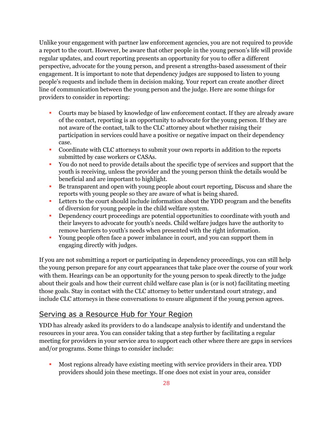Unlike your engagement with partner law enforcement agencies, you are not required to provide a report to the court. However, be aware that other people in the young person's life will provide regular updates, and court reporting presents an opportunity for you to offer a different perspective, advocate for the young person, and present a strengths-based assessment of their engagement. It is important to note that dependency judges are supposed to listen to young people's requests and include them in decision making. Your report can create another direct line of communication between the young person and the judge. Here are some things for providers to consider in reporting:

- Courts may be biased by knowledge of law enforcement contact. If they are already aware of the contact, reporting is an opportunity to advocate for the young person. If they are not aware of the contact, talk to the CLC attorney about whether raising their participation in services could have a positive or negative impact on their dependency case.
- Coordinate with CLC attorneys to submit your own reports in addition to the reports submitted by case workers or CASAs.
- You do not need to provide details about the specific type of services and support that the youth is receiving, unless the provider and the young person think the details would be beneficial and are important to highlight.
- Be transparent and open with young people about court reporting, Discuss and share the reports with young people so they are aware of what is being shared.
- Letters to the court should include information about the YDD program and the benefits of diversion for young people in the child welfare system.
- **•** Dependency court proceedings are potential opportunities to coordinate with youth and their lawyers to advocate for youth's needs. Child welfare judges have the authority to remove barriers to youth's needs when presented with the right information.
- Young people often face a power imbalance in court, and you can support them in engaging directly with judges.

If you are not submitting a report or participating in dependency proceedings, you can still help the young person prepare for any court appearances that take place over the course of your work with them. Hearings can be an opportunity for the young person to speak directly to the judge about their goals and how their current child welfare case plan is (or is not) facilitating meeting those goals. Stay in contact with the CLC attorney to better understand court strategy, and include CLC attorneys in these conversations to ensure alignment if the young person agrees.

# <span id="page-28-0"></span>Serving as a Resource Hub for Your Region

YDD has already asked its providers to do a landscape analysis to identify and understand the resources in your area. You can consider taking that a step further by facilitating a regular meeting for providers in your service area to support each other where there are gaps in services and/or programs. Some things to consider include:

▪ Most regions already have existing meeting with service providers in their area. YDD providers should join these meetings. If one does not exist in your area, consider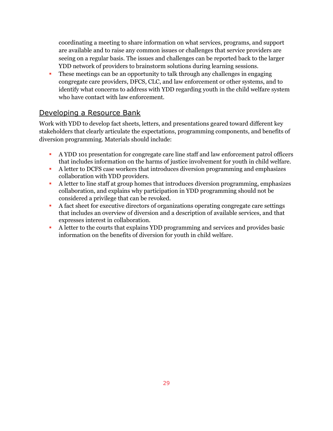coordinating a meeting to share information on what services, programs, and support are available and to raise any common issues or challenges that service providers are seeing on a regular basis. The issues and challenges can be reported back to the larger YDD network of providers to brainstorm solutions during learning sessions.

**•** These meetings can be an opportunity to talk through any challenges in engaging congregate care providers, DFCS, CLC, and law enforcement or other systems, and to identify what concerns to address with YDD regarding youth in the child welfare system who have contact with law enforcement.

# <span id="page-29-0"></span>Developing a Resource Bank

Work with YDD to develop fact sheets, letters, and presentations geared toward different key stakeholders that clearly articulate the expectations, programming components, and benefits of diversion programming. Materials should include:

- A YDD 101 presentation for congregate care line staff and law enforcement patrol officers that includes information on the harms of justice involvement for youth in child welfare.
- A letter to DCFS case workers that introduces diversion programming and emphasizes collaboration with YDD providers.
- A letter to line staff at group homes that introduces diversion programming, emphasizes collaboration, and explains why participation in YDD programming should not be considered a privilege that can be revoked.
- A fact sheet for executive directors of organizations operating congregate care settings that includes an overview of diversion and a description of available services, and that expresses interest in collaboration.
- A letter to the courts that explains YDD programming and services and provides basic information on the benefits of diversion for youth in child welfare.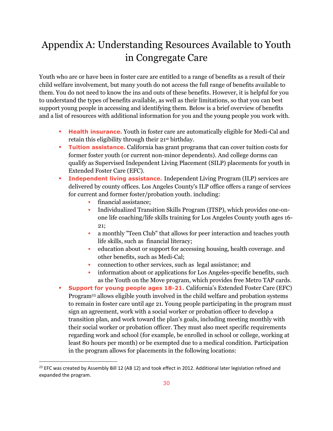# <span id="page-30-0"></span>Appendix A: Understanding Resources Available to Youth in Congregate Care

Youth who are or have been in foster care are entitled to a range of benefits as a result of their child welfare involvement, but many youth do not access the full range of benefits available to them. You do not need to know the ins and outs of these benefits. However, it is helpful for you to understand the types of benefits available, as well as their limitations, so that you can best support young people in accessing and identifying them. Below is a brief overview of benefits and a list of resources with additional information for you and the young people you work with.

- **Health insurance.** Youth in foster care are automatically eligible for Medi-Cal and retain this eligibility through their 21st birthday.
- **Tuition assistance.** California has grant programs that can cover tuition costs for former foster youth (or current non-minor dependents). And college dorms can qualify as Supervised Independent Living Placement (SILP) placements for youth in Extended Foster Care (EFC).
- **Independent living assistance.** Independent Living Program (ILP) services are delivered by county offices. Los Angeles County's ILP office offers a range of services for current and former foster/probation youth. including:
	- **•** financial assistance;
	- Individualized Transition Skills Program (ITSP), which provides one-onone life coaching/life skills training for Los Angeles County youth ages 16- 21;
	- a monthly "Teen Club" that allows for peer interaction and teaches youth life skills, such as financial literacy;
	- education about or support for accessing housing, health coverage. and other benefits, such as Medi-Cal;
	- connection to other services, such as legal assistance; and
	- information about or applications for Los Angeles-specific benefits, such as the Youth on the Move program, which provides free Metro TAP cards.
- **Support for young people ages 18-21.** California's Extended Foster Care (EFC) Program<sup>23</sup> allows eligible youth involved in the child welfare and probation systems to remain in foster care until age 21. Young people participating in the program must sign an agreement, work with a social worker or probation officer to develop a transition plan, and work toward the plan's goals, including meeting monthly with their social worker or probation officer. They must also meet specific requirements regarding work and school (for example, be enrolled in school or college, working at least 80 hours per month) or be exempted due to a medical condition. Participation in the program allows for placements in the following locations:

<sup>&</sup>lt;sup>23</sup> EFC was created by Assembly Bill 12 (AB 12) and took effect in 2012. Additional later legislation refined and expanded the program.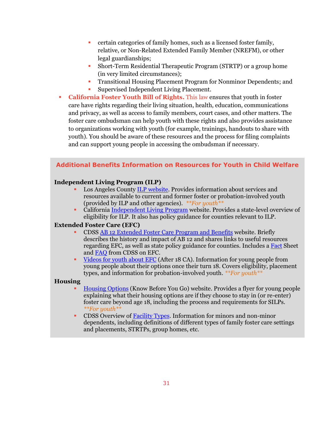- certain categories of family homes, such as a licensed foster family, relative, or Non-Related Extended Family Member (NREFM), or other legal guardianships;
- **Short-Term Residential Therapeutic Program (STRTP) or a group home** (in very limited circumstances);
- Transitional Housing Placement Program for Nonminor Dependents; and Supervised Independent Living Placement.
- **[California Foster Youth Bill of Rights.](about:blank)** This law ensures that youth in foster care have rights regarding their living situation, health, education, communications and privacy, as well as access to family members, court cases, and other matters. The foster care ombudsman can help youth with these rights and also provides assistance to organizations working with youth (for example, trainings, handouts to share with youth). You should be aware of these resources and the process for filing complaints and can support young people in accessing the ombudsman if necessary.

### **Additional Benefits Information on Resources for Youth in Child Welfare**

#### **Independent Living Program (ILP)**

- Los Angeles County [ILP website.](https://ilponline.org/) Provides information about services and resources available to current and former foster or probation-involved youth (provided by ILP and other agencies). *\*\*For youth\*\**
- Californi[a Independent Living Program](https://www.cdss.ca.gov/inforesources/foster-care/independent-living-program) website. Provides a state-level overview of eligibility for ILP. It also has policy guidance for counties relevant to ILP.

#### **Extended Foster Care (EFC)**

- CDSS [AB 12 Extended Foster Care Program and Benefits](https://www.cdss.ca.gov/inforesources/foster-care/extended-foster-care-ab-12) website. Briefly describes the history and impact of AB 12 and shares links to useful resources regarding EFC, as well as state policy guidance for counties. Includes a [Fact](https://www.cdss.ca.gov/Portals/9/FosterCare/EFC%20FINAL.pdf) Sheet an[d FAQ](https://www.cdss.ca.gov/Portals/9/FosterCare/202009-EFC-FAQ.pdf) from CDSS on EFC.
- [Videos for youth about EFC](https://www.youtube.com/user/After18CA) (After 18 CA). Information for young people from young people about their options once their turn 18. Covers eligibility, placement types, and information for probation-involved youth. *\*\*For youth\*\**

#### **Housing**

- [Housing Options](https://allianceforchildrensrights.org/wp-content/uploads/2013/10/Housing-Options.pdf) (Know Before You Go) website. Provides a flyer for young people explaining what their housing options are if they choose to stay in (or re-enter) foster care beyond age 18, including the process and requirements for SILPs. *\*\*For youth\*\**
- **CDSS Overview of [Facility Types.](https://www.cdss.ca.gov/inforesources/childrens-residential/resources-for-providers/facility-information) Information for minors and non-minor** dependents, including definitions of different types of family foster care settings and placements, STRTPs, group homes, etc.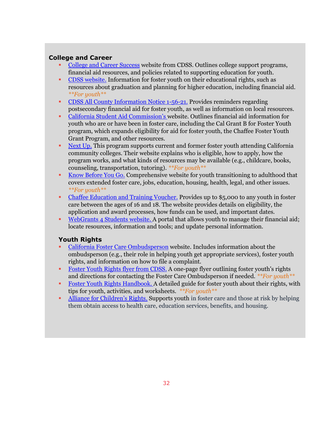### **College and Career**

- [College and Career Success](https://www.cdss.ca.gov/inforesources/cdss-programs/foster-care/california-foster-youth-education-resource-hub/college) website from CDSS. Outlines college support programs, financial aid resources, and policies related to supporting education for youth.
- **[CDSS website.](https://www.cdss.ca.gov/inforesources/cdss-programs/foster-care/california-foster-youth-education-resource-hub/youth)** Information for foster youth on their educational rights, such as resources about graduation and planning for higher education, including financial aid. *\*\*For youth\*\**
- [CDSS All County Information Notice 1-56-21.](https://www.cdss.ca.gov/Portals/9/Additional-Resources/Letters-and-Notices/ACINs/2021/I-56_21.pdf?ver=2021-06-23-151832-683) Provides reminders regarding postsecondary financial aid for foster youth, as well as information on local resources.
- [California Student Aid Commission](https://www.csac.ca.gov/foster-youth-students)'s website. Outlines financial aid information for youth who are or have been in foster care, including the Cal Grant B for Foster Youth program, which expands eligibility for aid for foster youth, the Chaffee Foster Youth Grant Program, and other resources.
- [Next Up.](https://nextup.cccco.edu/) This program supports current and former foster youth attending California community colleges. Their website explains who is eligible, how to apply, how the program works, and what kinds of resources may be available (e.g., childcare, books, counseling, transportation, tutoring). *\*\*For youth\*\**
- [Know Before You Go.](https://knowb4ugo.org/) Comprehensive website for youth transitioning to adulthood that covers extended foster care, jobs, education, housing, health, legal, and other issues. *\*\*For youth\*\**
- [Chaffee Education and Training Voucher.](https://chafee.csac.ca.gov/) Provides up to \$5,000 to any youth in foster care between the ages of 16 and 18. The website provides details on eligibility, the application and award processes, how funds can be used, and important dates.
- [WebGrants 4 Students website.](https://www.csac.ca.gov/webgrants-4-students) A portal that allows youth to manage their financial aid; locate resources, information and tools; and update personal information.

### **Youth Rights**

- [California Foster Care Ombudsperson](https://fosteryouthhelp.ca.gov/) website. Includes information about the ombudsperson (e.g., their role in helping youth get appropriate services), foster youth rights, and information on how to file a complaint.
- **Example 1** [Foster Youth Rights flyer from CDSS.](https://www.cdss.ca.gov/cdssweb/entres/forms/English/pub396.pdf) A one-page flyer outlining foster youth's rights and directions for contacting the Foster Care Ombudsperson if needed. *\*\*For youth\*\**
- **E** [Foster Youth Rights Handbook.](https://fosteryouthhelp.ca.gov/wp-content/uploads/sites/276/2020/11/EnglishHandbook_Final1.19.21.pdf) A detailed guide for foster youth about their rights, with tips for youth, activities, and worksheets. *\*\*For youth\*\**
- [Alliance for Children's Rights](https://allianceforchildrensrights.org/mission/). Supports youth in foster care and those at risk by helping them obtain access to health care, education services, benefits, and housing.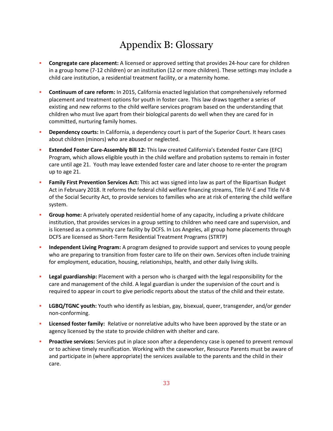# Appendix B: Glossary

- <span id="page-33-0"></span>**Congregate care placement:** A licensed or approved setting that provides 24-hour care for children in a group home (7-12 children) or an institution (12 or more children). These settings may include a child care institution, a residential treatment facility, or a maternity home.
- **Continuum of care reform:** In 2015, California enacted legislation that comprehensively reformed placement and treatment options for youth in foster care. This law draws together a series of existing and new reforms to the child welfare services program based on the understanding that children who must live apart from their biological parents do well when they are cared for in committed, nurturing family homes.
- **Dependency courts:** In California, a dependency court is part of the Superior Court. It hears cases about children (minors) who are abused or neglected.
- **Extended Foster Care-Assembly Bill 12:** This law created California's Extended Foster Care (EFC) Program, which allows eligible youth in the child welfare and probation systems to remain in foster care until age 21. Youth may leave extended foster care and later choose to re-enter the program up to age 21.
- **Family First Prevention Services Act:** This act was signed into law as part of the Bipartisan Budget Act in February 2018. It reforms the federal child welfare financing streams, Title IV-E and Title IV-B of the Social Security Act, to provide services to families who are at risk of entering the child welfare system.
- **Group home:** A privately operated residential home of any capacity, including a private childcare institution, that provides services in a group setting to children who need care and supervision, and is licensed as a community care facility by DCFS. In Los Angeles, all group home placements through DCFS are licensed as Short-Term Residential Treatment Programs (STRTP)
- **Independent Living Program:** A program designed to provide support and services to young people who are preparing to transition from foster care to life on their own. Services often include training for employment, education, housing, relationships, health, and other daily living skills.
- **Legal guardianship:** Placement with a person who is charged with the legal responsibility for the care and management of the child. A legal guardian is under the supervision of the court and is required to appear in court to give periodic reports about the status of the child and their estate.
- **LGBQ/TGNC youth:** Youth who identify as lesbian, gay, bisexual, queer, transgender, and/or gender non-conforming.
- **EXED 10 I Licensed foster family:** Relative or nonrelative adults who have been approved by the state or an agency licensed by the state to provide children with shelter and care.
- **Proactive services:** Services put in place soon after a dependency case is opened to prevent removal or to achieve timely reunification. Working with the caseworker, Resource Parents must be aware of and participate in (where appropriate) the services available to the parents and the child in their care.